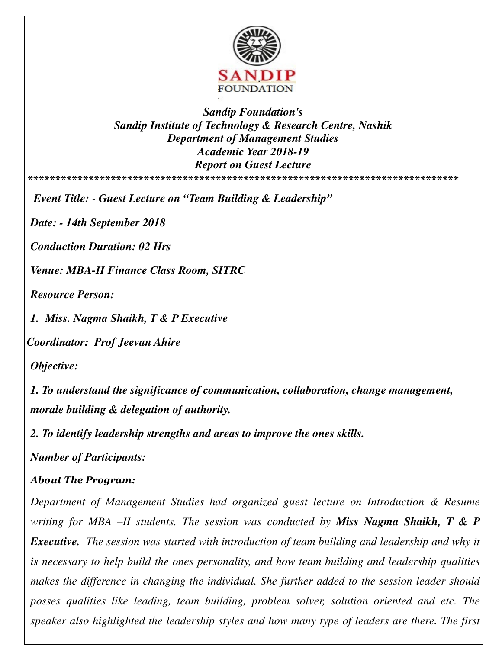

*Sandip Foundation's Sandip Institute of Technology & Research Centre, Nashik Department of Management Studies Academic Year 2018-19 Report on Guest Lecture*  **\*\*\*\*\*\*\*\*\*\*\*\*\*\*\*\*\*\*\*\*\*\*\*\*\*\*\*\*\*\*\*\*\*\*\*\*\*\*\*\*\*\*\*\*\*\*\*\*\*\*\*\*\*\*\*\*\*\*\*\*\*\*\*\*\*\*\*\*\*\*\*\*\*\*\*\*\*\*** 

*Event Title: - Guest Lecture on "Team Building & Leadership"* 

*Date: - 14th September 2018*

*Conduction Duration: 02 Hrs* 

*Venue: MBA-II Finance Class Room, SITRC* 

*Resource Person:* 

*1. Miss. Nagma Shaikh, T & P Executive* 

*Coordinator: Prof Jeevan Ahire* 

*Objective:* 

*1. To understand the significance of communication, collaboration, change management, morale building & delegation of authority.* 

*2. To identify leadership strengths and areas to improve the ones skills.* 

*Number of Participants:* 

## *About The Program:*

*Department of Management Studies had organized guest lecture on Introduction & Resume writing for MBA –II students. The session was conducted by Miss Nagma Shaikh, T & P Executive. The session was started with introduction of team building and leadership and why it is necessary to help build the ones personality, and how team building and leadership qualities makes the difference in changing the individual. She further added to the session leader should posses qualities like leading, team building, problem solver, solution oriented and etc. The speaker also highlighted the leadership styles and how many type of leaders are there. The first*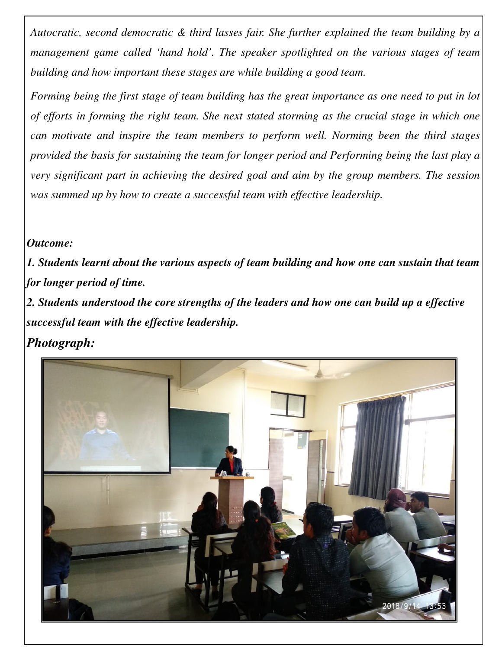*Autocratic, second democratic & third lasses fair. She further explained the team building by a management game called 'hand hold'. The speaker spotlighted on the various stages of team building and how important these stages are while building a good team.* 

*Forming being the first stage of team building has the great importance as one need to put in lot of efforts in forming the right team. She next stated storming as the crucial stage in which one can motivate and inspire the team members to perform well. Norming been the third stages provided the basis for sustaining the team for longer period and Performing being the last play a very significant part in achieving the desired goal and aim by the group members. The session was summed up by how to create a successful team with effective leadership.* 

## *Outcome:*

*1. Students learnt about the various aspects of team building and how one can sustain that team for longer period of time.* 

*2. Students understood the core strengths of the leaders and how one can build up a effective successful team with the effective leadership.*